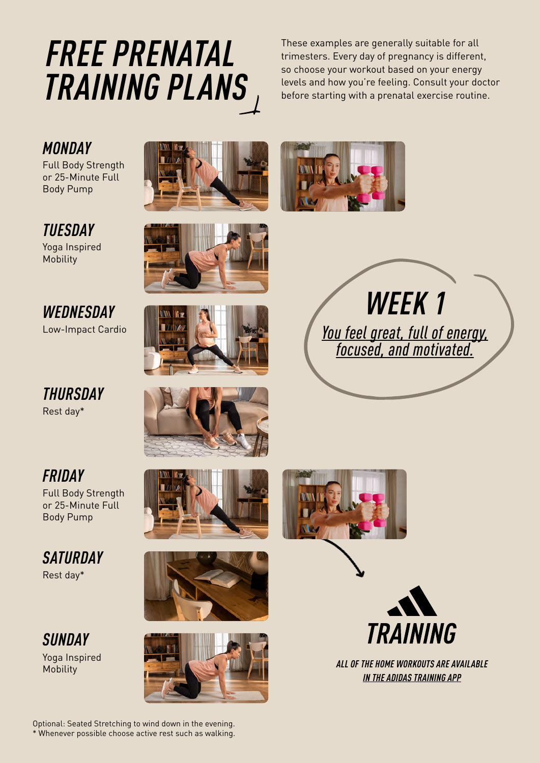# *FREE PRENATAL TRAINING PLANS*

These examples are generally suitable for all trimesters. Every day of pregnancy is different, so choose your workout based on your energy levels and how you're feeling. Consult your doctor before starting with a prenatal exercise routine.

### *MONDAY*

Full Body Strength or 25-Minute Full Body Pump

## *TUESDAY*

Yoga Inspired Mobility

#### *WEDNESDAY* Low-Impact Cardio

*THURSDAY* Rest day\*

# *FRIDAY*

Full Body Strength or 25-Minute Full Body Pump

#### *SATURDAY* Rest day\*

*SUNDAY*

Yoga Inspired























Mobility *ALL OF THE HOME WORKOUTS ARE AVAILABLE [IN THE ADIDAS TRAINING APP](https://www.runtastic.com/apps/results/open?utm_source=runtastic&utm_medium=blog&utm_campaign=blog_download_results&utm_content=post_text)*

Optional: Seated Stretching to wind down in the evening. \* Whenever possible choose active rest such as walking.